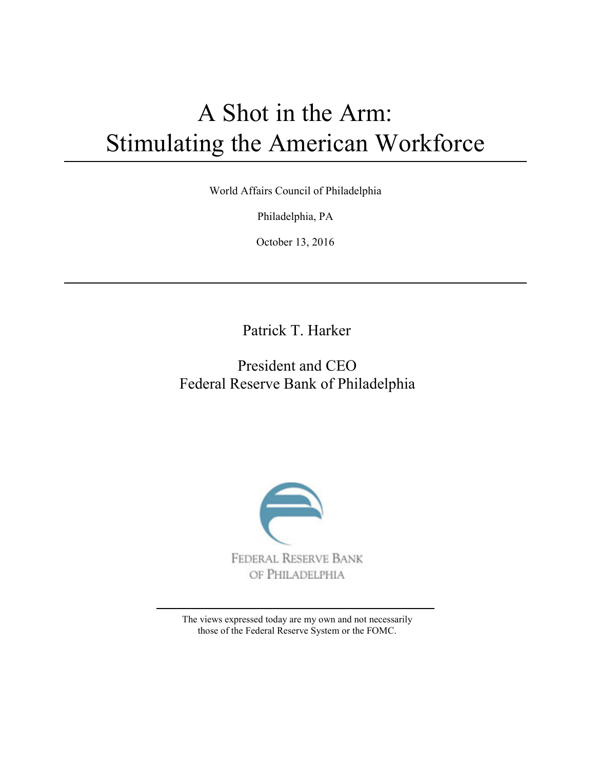# A Shot in the Arm: Stimulating the American Workforce

World Affairs Council of Philadelphia

Philadelphia, PA

October 13, 2016

Patrick T. Harker

# President and CEO Federal Reserve Bank of Philadelphia



The views expressed today are my own and not necessarily those of the Federal Reserve System or the FOMC.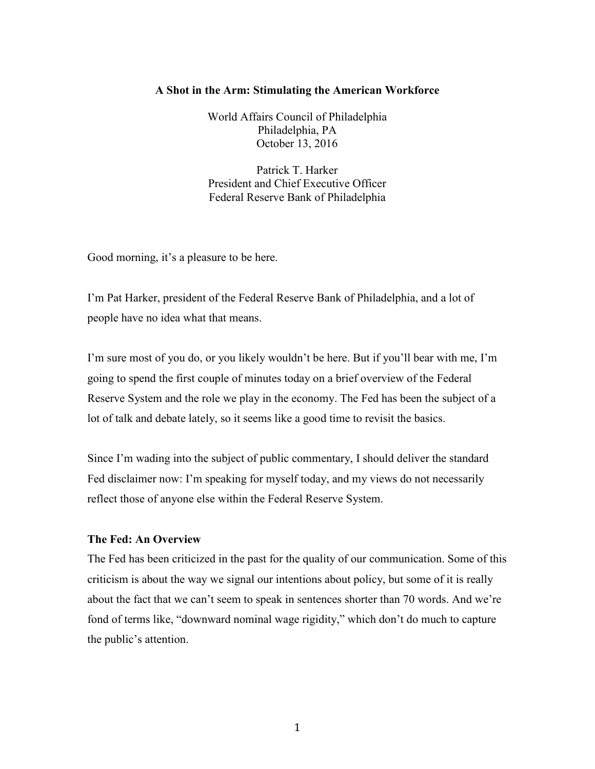#### **A Shot in the Arm: Stimulating the American Workforce**

World Affairs Council of Philadelphia Philadelphia, PA October 13, 2016

Patrick T. Harker President and Chief Executive Officer Federal Reserve Bank of Philadelphia

Good morning, it's a pleasure to be here.

I'm Pat Harker, president of the Federal Reserve Bank of Philadelphia, and a lot of people have no idea what that means.

I'm sure most of you do, or you likely wouldn't be here. But if you'll bear with me, I'm going to spend the first couple of minutes today on a brief overview of the Federal Reserve System and the role we play in the economy. The Fed has been the subject of a lot of talk and debate lately, so it seems like a good time to revisit the basics.

Since I'm wading into the subject of public commentary, I should deliver the standard Fed disclaimer now: I'm speaking for myself today, and my views do not necessarily reflect those of anyone else within the Federal Reserve System.

## **The Fed: An Overview**

The Fed has been criticized in the past for the quality of our communication. Some of this criticism is about the way we signal our intentions about policy, but some of it is really about the fact that we can't seem to speak in sentences shorter than 70 words. And we're fond of terms like, "downward nominal wage rigidity," which don't do much to capture the public's attention.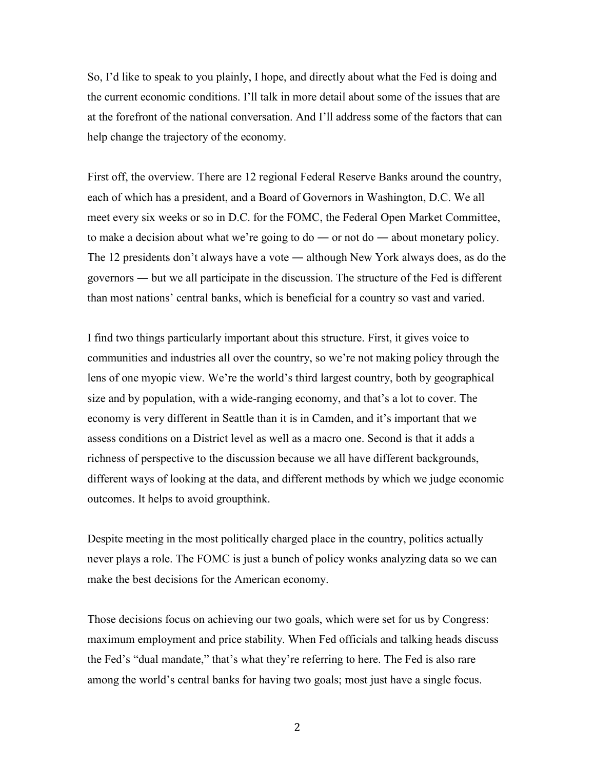So, I'd like to speak to you plainly, I hope, and directly about what the Fed is doing and the current economic conditions. I'll talk in more detail about some of the issues that are at the forefront of the national conversation. And I'll address some of the factors that can help change the trajectory of the economy.

First off, the overview. There are 12 regional Federal Reserve Banks around the country, each of which has a president, and a Board of Governors in Washington, D.C. We all meet every six weeks or so in D.C. for the FOMC, the Federal Open Market Committee, to make a decision about what we're going to  $d\sigma$  — or not  $d\sigma$  — about monetary policy. The 12 presidents don't always have a vote ― although New York always does, as do the governors ― but we all participate in the discussion. The structure of the Fed is different than most nations' central banks, which is beneficial for a country so vast and varied.

I find two things particularly important about this structure. First, it gives voice to communities and industries all over the country, so we're not making policy through the lens of one myopic view. We're the world's third largest country, both by geographical size and by population, with a wide-ranging economy, and that's a lot to cover. The economy is very different in Seattle than it is in Camden, and it's important that we assess conditions on a District level as well as a macro one. Second is that it adds a richness of perspective to the discussion because we all have different backgrounds, different ways of looking at the data, and different methods by which we judge economic outcomes. It helps to avoid groupthink.

Despite meeting in the most politically charged place in the country, politics actually never plays a role. The FOMC is just a bunch of policy wonks analyzing data so we can make the best decisions for the American economy.

Those decisions focus on achieving our two goals, which were set for us by Congress: maximum employment and price stability. When Fed officials and talking heads discuss the Fed's "dual mandate," that's what they're referring to here. The Fed is also rare among the world's central banks for having two goals; most just have a single focus.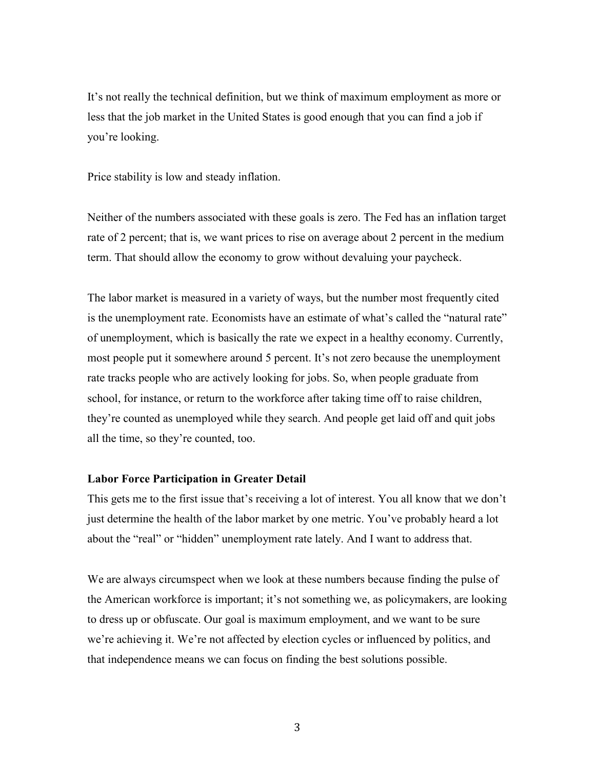It's not really the technical definition, but we think of maximum employment as more or less that the job market in the United States is good enough that you can find a job if you're looking.

Price stability is low and steady inflation.

Neither of the numbers associated with these goals is zero. The Fed has an inflation target rate of 2 percent; that is, we want prices to rise on average about 2 percent in the medium term. That should allow the economy to grow without devaluing your paycheck.

The labor market is measured in a variety of ways, but the number most frequently cited is the unemployment rate. Economists have an estimate of what's called the "natural rate" of unemployment, which is basically the rate we expect in a healthy economy. Currently, most people put it somewhere around 5 percent. It's not zero because the unemployment rate tracks people who are actively looking for jobs. So, when people graduate from school, for instance, or return to the workforce after taking time off to raise children, they're counted as unemployed while they search. And people get laid off and quit jobs all the time, so they're counted, too.

#### **Labor Force Participation in Greater Detail**

This gets me to the first issue that's receiving a lot of interest. You all know that we don't just determine the health of the labor market by one metric. You've probably heard a lot about the "real" or "hidden" unemployment rate lately. And I want to address that.

We are always circumspect when we look at these numbers because finding the pulse of the American workforce is important; it's not something we, as policymakers, are looking to dress up or obfuscate. Our goal is maximum employment, and we want to be sure we're achieving it. We're not affected by election cycles or influenced by politics, and that independence means we can focus on finding the best solutions possible.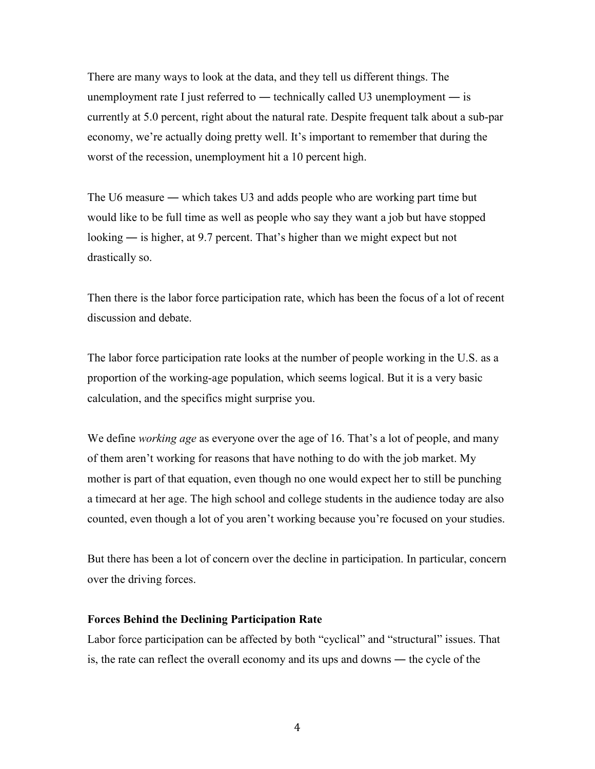There are many ways to look at the data, and they tell us different things. The unemployment rate I just referred to — technically called U3 unemployment — is currently at 5.0 percent, right about the natural rate. Despite frequent talk about a sub-par economy, we're actually doing pretty well. It's important to remember that during the worst of the recession, unemployment hit a 10 percent high.

The U6 measure — which takes U3 and adds people who are working part time but would like to be full time as well as people who say they want a job but have stopped looking ― is higher, at 9.7 percent. That's higher than we might expect but not drastically so.

Then there is the labor force participation rate, which has been the focus of a lot of recent discussion and debate.

The labor force participation rate looks at the number of people working in the U.S. as a proportion of the working-age population, which seems logical. But it is a very basic calculation, and the specifics might surprise you.

We define *working age* as everyone over the age of 16. That's a lot of people, and many of them aren't working for reasons that have nothing to do with the job market. My mother is part of that equation, even though no one would expect her to still be punching a timecard at her age. The high school and college students in the audience today are also counted, even though a lot of you aren't working because you're focused on your studies.

But there has been a lot of concern over the decline in participation. In particular, concern over the driving forces.

#### **Forces Behind the Declining Participation Rate**

Labor force participation can be affected by both "cyclical" and "structural" issues. That is, the rate can reflect the overall economy and its ups and downs ― the cycle of the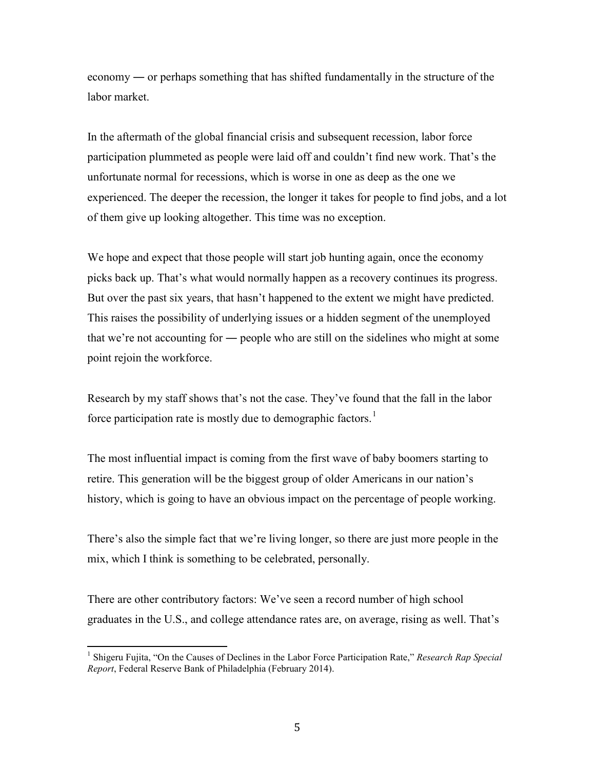economy ― or perhaps something that has shifted fundamentally in the structure of the labor market.

In the aftermath of the global financial crisis and subsequent recession, labor force participation plummeted as people were laid off and couldn't find new work. That's the unfortunate normal for recessions, which is worse in one as deep as the one we experienced. The deeper the recession, the longer it takes for people to find jobs, and a lot of them give up looking altogether. This time was no exception.

We hope and expect that those people will start job hunting again, once the economy picks back up. That's what would normally happen as a recovery continues its progress. But over the past six years, that hasn't happened to the extent we might have predicted. This raises the possibility of underlying issues or a hidden segment of the unemployed that we're not accounting for ― people who are still on the sidelines who might at some point rejoin the workforce.

Research by my staff shows that's not the case. They've found that the fall in the labor force participation rate is mostly due to demographic factors.<sup>[1](#page-5-0)</sup>

The most influential impact is coming from the first wave of baby boomers starting to retire. This generation will be the biggest group of older Americans in our nation's history, which is going to have an obvious impact on the percentage of people working.

There's also the simple fact that we're living longer, so there are just more people in the mix, which I think is something to be celebrated, personally.

There are other contributory factors: We've seen a record number of high school graduates in the U.S., and college attendance rates are, on average, rising as well. That's

<span id="page-5-0"></span> $\frac{1}{1}$ <sup>1</sup> Shigeru Fujita, "On the Causes of Declines in the Labor Force Participation Rate," *Research Rap Special Report*, Federal Reserve Bank of Philadelphia (February 2014).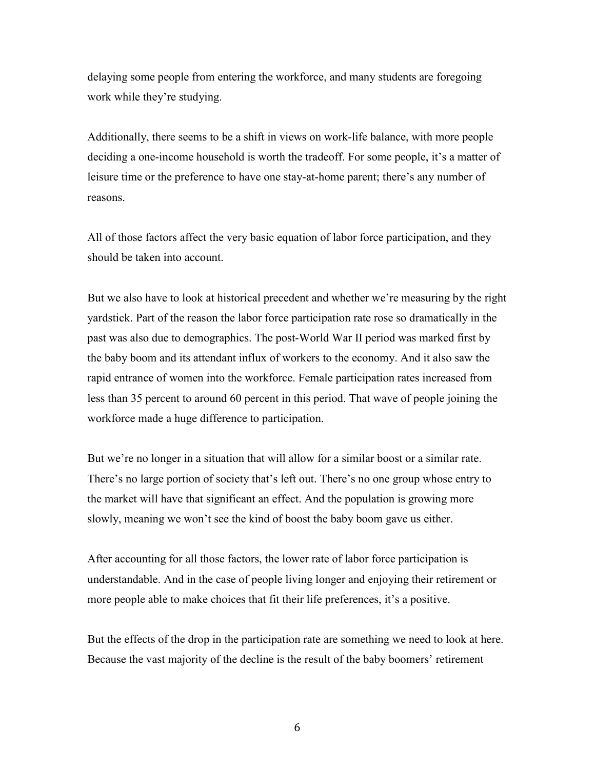delaying some people from entering the workforce, and many students are foregoing work while they're studying.

Additionally, there seems to be a shift in views on work-life balance, with more people deciding a one-income household is worth the tradeoff. For some people, it's a matter of leisure time or the preference to have one stay-at-home parent; there's any number of reasons.

All of those factors affect the very basic equation of labor force participation, and they should be taken into account.

But we also have to look at historical precedent and whether we're measuring by the right yardstick. Part of the reason the labor force participation rate rose so dramatically in the past was also due to demographics. The post-World War II period was marked first by the baby boom and its attendant influx of workers to the economy. And it also saw the rapid entrance of women into the workforce. Female participation rates increased from less than 35 percent to around 60 percent in this period. That wave of people joining the workforce made a huge difference to participation.

But we're no longer in a situation that will allow for a similar boost or a similar rate. There's no large portion of society that's left out. There's no one group whose entry to the market will have that significant an effect. And the population is growing more slowly, meaning we won't see the kind of boost the baby boom gave us either.

After accounting for all those factors, the lower rate of labor force participation is understandable. And in the case of people living longer and enjoying their retirement or more people able to make choices that fit their life preferences, it's a positive.

But the effects of the drop in the participation rate are something we need to look at here. Because the vast majority of the decline is the result of the baby boomers' retirement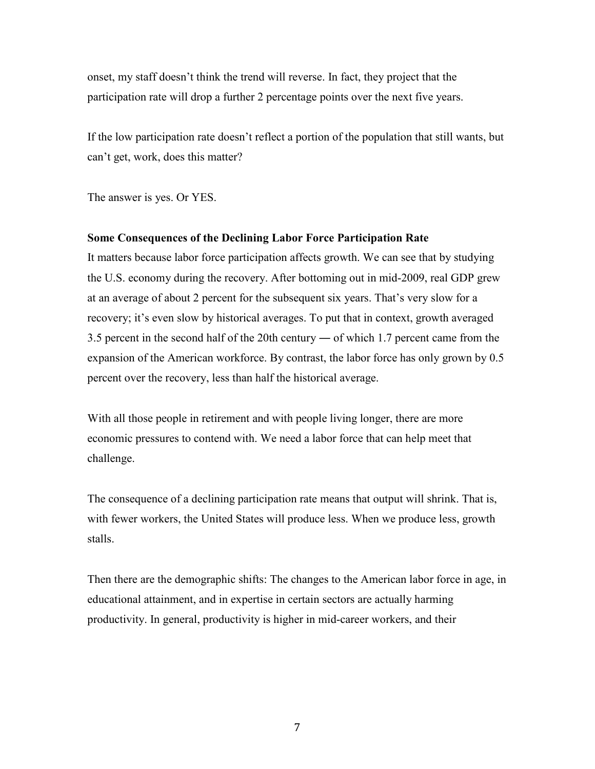onset, my staff doesn't think the trend will reverse. In fact, they project that the participation rate will drop a further 2 percentage points over the next five years.

If the low participation rate doesn't reflect a portion of the population that still wants, but can't get, work, does this matter?

The answer is yes. Or YES.

#### **Some Consequences of the Declining Labor Force Participation Rate**

It matters because labor force participation affects growth. We can see that by studying the U.S. economy during the recovery. After bottoming out in mid-2009, real GDP grew at an average of about 2 percent for the subsequent six years. That's very slow for a recovery; it's even slow by historical averages. To put that in context, growth averaged 3.5 percent in the second half of the 20th century ― of which 1.7 percent came from the expansion of the American workforce. By contrast, the labor force has only grown by 0.5 percent over the recovery, less than half the historical average.

With all those people in retirement and with people living longer, there are more economic pressures to contend with. We need a labor force that can help meet that challenge.

The consequence of a declining participation rate means that output will shrink. That is, with fewer workers, the United States will produce less. When we produce less, growth stalls.

Then there are the demographic shifts: The changes to the American labor force in age, in educational attainment, and in expertise in certain sectors are actually harming productivity. In general, productivity is higher in mid-career workers, and their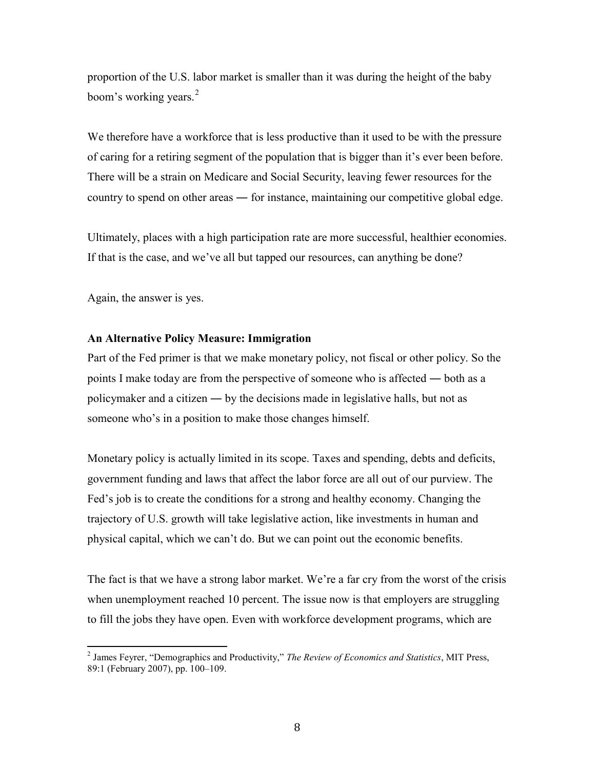proportion of the U.S. labor market is smaller than it was during the height of the baby boom's working years.<sup>[2](#page-8-0)</sup>

We therefore have a workforce that is less productive than it used to be with the pressure of caring for a retiring segment of the population that is bigger than it's ever been before. There will be a strain on Medicare and Social Security, leaving fewer resources for the country to spend on other areas ― for instance, maintaining our competitive global edge.

Ultimately, places with a high participation rate are more successful, healthier economies. If that is the case, and we've all but tapped our resources, can anything be done?

Again, the answer is yes.

#### **An Alternative Policy Measure: Immigration**

Part of the Fed primer is that we make monetary policy, not fiscal or other policy. So the points I make today are from the perspective of someone who is affected ― both as a policymaker and a citizen ― by the decisions made in legislative halls, but not as someone who's in a position to make those changes himself.

Monetary policy is actually limited in its scope. Taxes and spending, debts and deficits, government funding and laws that affect the labor force are all out of our purview. The Fed's job is to create the conditions for a strong and healthy economy. Changing the trajectory of U.S. growth will take legislative action, like investments in human and physical capital, which we can't do. But we can point out the economic benefits.

The fact is that we have a strong labor market. We're a far cry from the worst of the crisis when unemployment reached 10 percent. The issue now is that employers are struggling to fill the jobs they have open. Even with workforce development programs, which are

<span id="page-8-0"></span> $\overline{\phantom{a}}$ <sup>2</sup> James Feyrer, "Demographics and Productivity," *The Review of Economics and Statistics*, MIT Press, 89:1 (February 2007), pp. 100–109.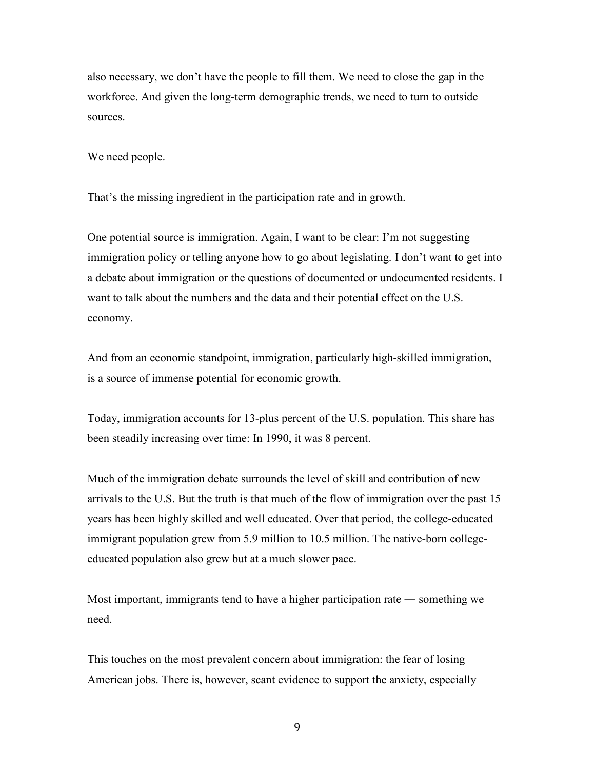also necessary, we don't have the people to fill them. We need to close the gap in the workforce. And given the long-term demographic trends, we need to turn to outside sources.

We need people.

That's the missing ingredient in the participation rate and in growth.

One potential source is immigration. Again, I want to be clear: I'm not suggesting immigration policy or telling anyone how to go about legislating. I don't want to get into a debate about immigration or the questions of documented or undocumented residents. I want to talk about the numbers and the data and their potential effect on the U.S. economy.

And from an economic standpoint, immigration, particularly high-skilled immigration, is a source of immense potential for economic growth.

Today, immigration accounts for 13-plus percent of the U.S. population. This share has been steadily increasing over time: In 1990, it was 8 percent.

Much of the immigration debate surrounds the level of skill and contribution of new arrivals to the U.S. But the truth is that much of the flow of immigration over the past 15 years has been highly skilled and well educated. Over that period, the college-educated immigrant population grew from 5.9 million to 10.5 million. The native-born collegeeducated population also grew but at a much slower pace.

Most important, immigrants tend to have a higher participation rate ― something we need.

This touches on the most prevalent concern about immigration: the fear of losing American jobs. There is, however, scant evidence to support the anxiety, especially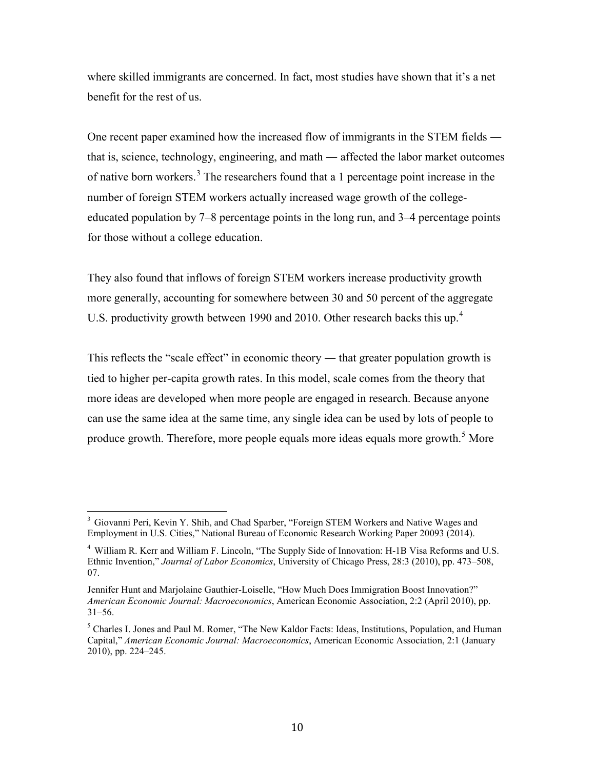where skilled immigrants are concerned. In fact, most studies have shown that it's a net benefit for the rest of us.

One recent paper examined how the increased flow of immigrants in the STEM fields ― that is, science, technology, engineering, and math ― affected the labor market outcomes of native born workers.[3](#page-10-0) The researchers found that a 1 percentage point increase in the number of foreign STEM workers actually increased wage growth of the collegeeducated population by 7–8 percentage points in the long run, and 3–4 percentage points for those without a college education.

They also found that inflows of foreign STEM workers increase productivity growth more generally, accounting for somewhere between 30 and 50 percent of the aggregate U.S. productivity growth between 1990 and 2010. Other research backs this up.<sup>[4](#page-10-1)</sup>

This reflects the "scale effect" in economic theory — that greater population growth is tied to higher per-capita growth rates. In this model, scale comes from the theory that more ideas are developed when more people are engaged in research. Because anyone can use the same idea at the same time, any single idea can be used by lots of people to produce growth. Therefore, more people equals more ideas equals more growth.<sup>[5](#page-10-2)</sup> More

<span id="page-10-0"></span> $\frac{1}{2}$ <sup>3</sup> Giovanni Peri, Kevin Y. Shih, and Chad Sparber, "Foreign STEM Workers and Native Wages and Employment in U.S. Cities," National Bureau of Economic Research Working Paper 20093 (2014).

<span id="page-10-1"></span><sup>&</sup>lt;sup>4</sup> William R. Kerr and William F. Lincoln, "The Supply Side of Innovation: H-1B Visa Reforms and U.S. Ethnic Invention," *Journal of Labor Economics*, University of Chicago Press, 28:3 (2010), pp. 473–508, 07.

Jennifer Hunt and Marjolaine Gauthier-Loiselle, "How Much Does Immigration Boost Innovation?" *American Economic Journal: Macroeconomics*, American Economic Association, 2:2 (April 2010), pp. 31–56.

<span id="page-10-2"></span> $<sup>5</sup>$  Charles I. Jones and Paul M. Romer, "The New Kaldor Facts: Ideas, Institutions, Population, and Human</sup> Capital," *American Economic Journal: Macroeconomics*, American Economic Association, 2:1 (January 2010), pp. 224–245.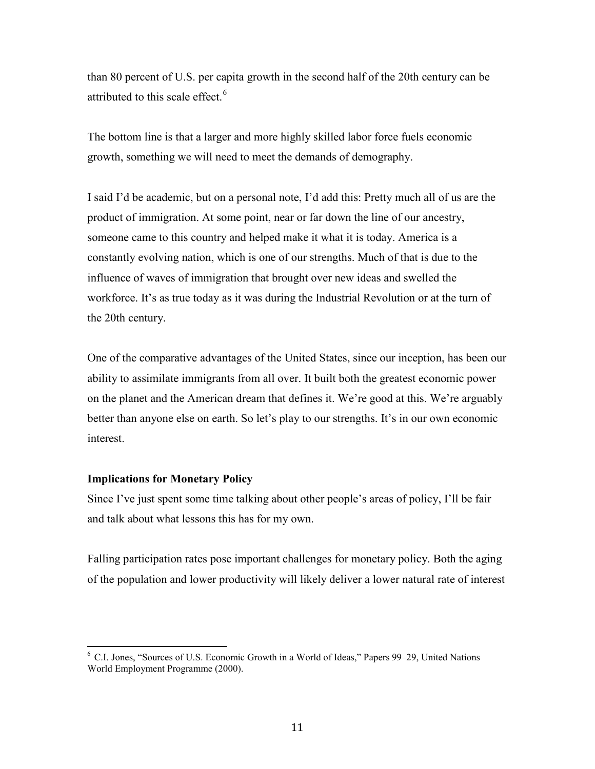than 80 percent of U.S. per capita growth in the second half of the 20th century can be attributed to this scale effect.<sup>[6](#page-11-0)</sup>

The bottom line is that a larger and more highly skilled labor force fuels economic growth, something we will need to meet the demands of demography.

I said I'd be academic, but on a personal note, I'd add this: Pretty much all of us are the product of immigration. At some point, near or far down the line of our ancestry, someone came to this country and helped make it what it is today. America is a constantly evolving nation, which is one of our strengths. Much of that is due to the influence of waves of immigration that brought over new ideas and swelled the workforce. It's as true today as it was during the Industrial Revolution or at the turn of the 20th century.

One of the comparative advantages of the United States, since our inception, has been our ability to assimilate immigrants from all over. It built both the greatest economic power on the planet and the American dream that defines it. We're good at this. We're arguably better than anyone else on earth. So let's play to our strengths. It's in our own economic interest.

### **Implications for Monetary Policy**

Since I've just spent some time talking about other people's areas of policy, I'll be fair and talk about what lessons this has for my own.

Falling participation rates pose important challenges for monetary policy. Both the aging of the population and lower productivity will likely deliver a lower natural rate of interest

<span id="page-11-0"></span> $\overline{\phantom{a}}$ <sup>6</sup> C.I. Jones, "Sources of U.S. Economic Growth in a World of Ideas," Papers 99–29, United Nations World Employment Programme (2000).